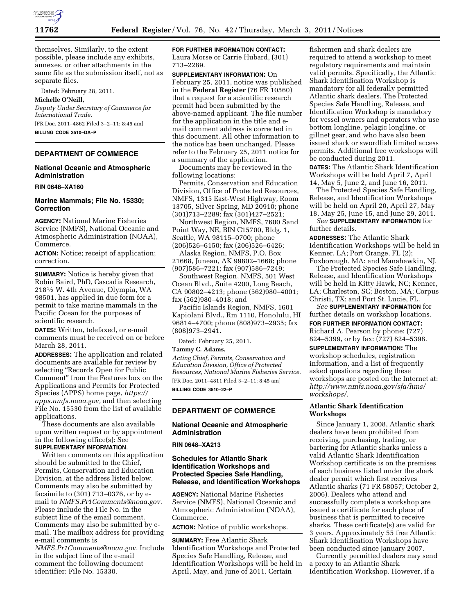

themselves. Similarly, to the extent possible, please include any exhibits, annexes, or other attachments in the same file as the submission itself, not as separate files.

Dated: February 28, 2011.

**Michelle O'Neill,** 

*Deputy Under Secretary of Commerce for International Trade.*  [FR Doc. 2011–4862 Filed 3–2–11; 8:45 am]

**BILLING CODE 3510–DA–P** 

### **DEPARTMENT OF COMMERCE**

## **National Oceanic and Atmospheric Administration**

**RIN 0648–XA160** 

## **Marine Mammals; File No. 15330; Correction**

**AGENCY:** National Marine Fisheries Service (NMFS), National Oceanic and Atmospheric Administration (NOAA), Commerce.

**ACTION:** Notice; receipt of application; correction.

**SUMMARY:** Notice is hereby given that Robin Baird, PhD, Cascadia Research, 2181⁄2 W. 4th Avenue, Olympia, WA 98501, has applied in due form for a permit to take marine mammals in the Pacific Ocean for the purposes of scientific research.

**DATES:** Written, telefaxed, or e-mail comments must be received on or before March 28, 2011.

**ADDRESSES:** The application and related documents are available for review by selecting "Records Open for Public Comment'' from the Features box on the Applications and Permits for Protected Species (APPS) home page, *[https://](https://apps.nmfs.noaa.gov)  [apps.nmfs.noaa.gov,](https://apps.nmfs.noaa.gov)* and then selecting File No. 15530 from the list of available applications.

These documents are also available upon written request or by appointment in the following office(s): See **SUPPLEMENTARY INFORMATION**.

Written comments on this application should be submitted to the Chief, Permits, Conservation and Education Division, at the address listed below. Comments may also be submitted by facsimile to (301) 713–0376, or by email to *[NMFS.Pr1Comments@noaa.gov.](mailto:NMFS.Pr1Comments@noaa.gov)*  Please include the File No. in the subject line of the email comment. Comments may also be submitted by email. The mailbox address for providing e-mail comments is

*[NMFS.Pr1Comments@noaa.gov.](mailto:NMFS.Pr1Comments@noaa.gov)* Include in the subject line of the e-mail comment the following document identifier: File No. 15330.

**FOR FURTHER INFORMATION CONTACT:**  Laura Morse or Carrie Hubard, (301) 713–2289.

**SUPPLEMENTARY INFORMATION:** On February 25, 2011, notice was published in the **Federal Register** (76 FR 10560) that a request for a scientific research permit had been submitted by the above-named applicant. The file number for the application in the title and email comment address is corrected in this document. All other information to the notice has been unchanged. Please refer to the February 25, 2011 notice for a summary of the application.

Documents may be reviewed in the following locations:

Permits, Conservation and Education Division, Office of Protected Resources, NMFS, 1315 East-West Highway, Room 13705, Silver Spring, MD 20910; phone (301)713–2289; fax (301)427–2521;

Northwest Region, NMFS, 7600 Sand Point Way, NE, BIN C15700, Bldg. 1, Seattle, WA 98115–0700; phone (206)526–6150; fax (206)526–6426;

Alaska Region, NMFS, P.O. Box 21668, Juneau, AK 99802–1668; phone (907)586–7221; fax (907)586–7249;

Southwest Region, NMFS, 501 West Ocean Blvd., Suite 4200, Long Beach, CA 90802–4213; phone (562)980–4001; fax (562)980–4018; and

Pacific Islands Region, NMFS, 1601 Kapiolani Blvd., Rm 1110, Honolulu, HI 96814–4700; phone (808)973–2935; fax (808)973–2941.

Dated: February 25, 2011.

#### **Tammy C. Adams,**

*Acting Chief, Permits, Conservation and Education Division, Office of Protected Resources, National Marine Fisheries Service.*  [FR Doc. 2011–4811 Filed 3–2–11; 8:45 am] **BILLING CODE 3510–22–P** 

**DEPARTMENT OF COMMERCE** 

## **National Oceanic and Atmospheric Administration**

### **RIN 0648–XA213**

## **Schedules for Atlantic Shark Identification Workshops and Protected Species Safe Handling, Release, and Identification Workshops**

**AGENCY:** National Marine Fisheries Service (NMFS), National Oceanic and Atmospheric Administration (NOAA), Commerce.

**ACTION:** Notice of public workshops.

**SUMMARY:** Free Atlantic Shark Identification Workshops and Protected Species Safe Handling, Release, and Identification Workshops will be held in April, May, and June of 2011. Certain

fishermen and shark dealers are required to attend a workshop to meet regulatory requirements and maintain valid permits. Specifically, the Atlantic Shark Identification Workshop is mandatory for all federally permitted Atlantic shark dealers. The Protected Species Safe Handling, Release, and Identification Workshop is mandatory for vessel owners and operators who use bottom longline, pelagic longline, or gillnet gear, and who have also been issued shark or swordfish limited access permits. Additional free workshops will be conducted during 2011.

**DATES:** The Atlantic Shark Identification Workshops will be held April 7, April 14, May 5, June 2, and June 16, 2011.

The Protected Species Safe Handling, Release, and Identification Workshops will be held on April 20, April 27, May 18, May 25, June 15, and June 29, 2011.

*See* **SUPPLEMENTARY INFORMATION** for further details.

**ADDRESSES:** The Atlantic Shark Identification Workshops will be held in Kenner, LA; Port Orange, FL (2); Foxborough, MA: and Manahawkin, NJ.

The Protected Species Safe Handling, Release, and Identification Workshops will be held in Kitty Hawk, NC; Kenner, LA; Charleston, SC; Boston, MA; Corpus Christi, TX; and Port St. Lucie, FL.

*See* **SUPPLEMENTARY INFORMATION** for further details on workshop locations. **FOR FURTHER INFORMATION CONTACT:**  Richard A. Pearson by phone: (727) 824–5399, or by fax: (727) 824–5398.

**SUPPLEMENTARY INFORMATION:** The workshop schedules, registration information, and a list of frequently asked questions regarding these workshops are posted on the Internet at: *[http://www.nmfs.noaa.gov/sfa/hms/](http://www.nmfs.noaa.gov/sfa/hms/workshops/)  [workshops/.](http://www.nmfs.noaa.gov/sfa/hms/workshops/)* 

# **Atlantic Shark Identification Workshops**

Since January 1, 2008, Atlantic shark dealers have been prohibited from receiving, purchasing, trading, or bartering for Atlantic sharks unless a valid Atlantic Shark Identification Workshop certificate is on the premises of each business listed under the shark dealer permit which first receives Atlantic sharks (71 FR 58057; October 2, 2006). Dealers who attend and successfully complete a workshop are issued a certificate for each place of business that is permitted to receive sharks. These certificate(s) are valid for 3 years. Approximately 55 free Atlantic Shark Identification Workshops have been conducted since January 2007.

Currently permitted dealers may send a proxy to an Atlantic Shark Identification Workshop. However, if a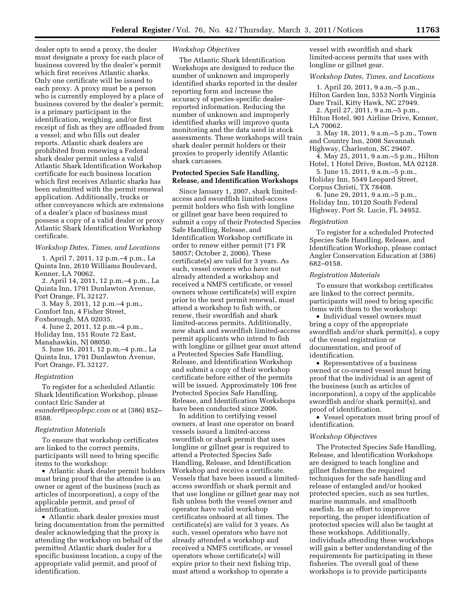dealer opts to send a proxy, the dealer must designate a proxy for each place of business covered by the dealer's permit which first receives Atlantic sharks. Only one certificate will be issued to each proxy. A proxy must be a person who is currently employed by a place of business covered by the dealer's permit; is a primary participant in the identification, weighing, and/or first receipt of fish as they are offloaded from a vessel; and who fills out dealer reports. Atlantic shark dealers are prohibited from renewing a Federal shark dealer permit unless a valid Atlantic Shark Identification Workshop certificate for each business location which first receives Atlantic sharks has been submitted with the permit renewal application. Additionally, trucks or other conveyances which are extensions of a dealer's place of business must possess a copy of a valid dealer or proxy Atlantic Shark Identification Workshop certificate.

### *Workshop Dates, Times, and Locations*

1. April 7, 2011, 12 p.m.–4 p.m., La Quinta Inn, 2610 Williams Boulevard, Kenner, LA 70062.

2. April 14, 2011, 12 p.m.–4 p.m., La Quinta Inn, 1791 Dunlawton Avenue, Port Orange, FL 32127.

3. May 5, 2011, 12 p.m.–4 p.m., Comfort Inn, 4 Fisher Street,

Foxborough, MA 02035.

4. June 2, 2011, 12 p.m.–4 p.m., Holiday Inn, 151 Route 72 East, Manahawkin, NJ 08050.

5. June 16, 2011, 12 p.m.–4 p.m., La Quinta Inn, 1791 Dunlawton Avenue, Port Orange, FL 32127.

### *Registration*

To register for a scheduled Atlantic Shark Identification Workshop, please contact Eric Sander at *[esander@peoplepc.com](mailto:esander@peoplepc.com)* or at (386) 852– 8588.

#### *Registration Materials*

To ensure that workshop certificates are linked to the correct permits, participants will need to bring specific items to the workshop:

• Atlantic shark dealer permit holders must bring proof that the attendee is an owner or agent of the business (such as articles of incorporation), a copy of the applicable permit, and proof of identification.

• Atlantic shark dealer proxies must bring documentation from the permitted dealer acknowledging that the proxy is attending the workshop on behalf of the permitted Atlantic shark dealer for a specific business location, a copy of the appropriate valid permit, and proof of identification.

### *Workshop Objectives*

The Atlantic Shark Identification Workshops are designed to reduce the number of unknown and improperly identified sharks reported in the dealer reporting form and increase the accuracy of species-specific dealerreported information. Reducing the number of unknown and improperly identified sharks will improve quota monitoring and the data used in stock assessments. These workshops will train shark dealer permit holders or their proxies to properly identify Atlantic shark carcasses.

## **Protected Species Safe Handling, Release, and Identification Workshops**

Since January 1, 2007, shark limitedaccess and swordfish limited-access permit holders who fish with longline or gillnet gear have been required to submit a copy of their Protected Species Safe Handling, Release, and Identification Workshop certificate in order to renew either permit (71 FR 58057; October 2, 2006). These certificate(s) are valid for 3 years. As such, vessel owners who have not already attended a workshop and received a NMFS certificate, or vessel owners whose certificate(s) will expire prior to the next permit renewal, must attend a workshop to fish with, or renew, their swordfish and shark limited-access permits. Additionally, new shark and swordfish limited-access permit applicants who intend to fish with longline or gillnet gear must attend a Protected Species Safe Handling, Release, and Identification Workshop and submit a copy of their workshop certificate before either of the permits will be issued. Approximately 106 free Protected Species Safe Handling, Release, and Identification Workshops have been conducted since 2006.

In addition to certifying vessel owners, at least one operator on board vessels issued a limited-access swordfish or shark permit that uses longline or gillnet gear is required to attend a Protected Species Safe Handling, Release, and Identification Workshop and receive a certificate. Vessels that have been issued a limitedaccess swordfish or shark permit and that use longline or gillnet gear may not fish unless both the vessel owner and operator have valid workshop certificates onboard at all times. The certificate(s) are valid for 3 years. As such, vessel operators who have not already attended a workshop and received a NMFS certificate, or vessel operators whose certificate(s) will expire prior to their next fishing trip, must attend a workshop to operate a

vessel with swordfish and shark limited-access permits that uses with longline or gillnet gear.

### *Workshop Dates, Times, and Locations*

1. April 20, 2011, 9 a.m.–5 p.m., Hilton Garden Inn, 5353 North Virginia Dare Trail, Kitty Hawk, NC 27949.

2. April 27, 2011, 9 a.m.–5 p.m., Hilton Hotel, 901 Airline Drive, Kenner,

- LA 70062.
- 3. May 18, 2011, 9 a.m.–5 p.m., Town and Country Inn, 2008 Savannah
- Highway, Charleston, SC 29407.
- 4. May 25, 2011, 9 a.m.–5 p.m., Hilton Hotel, 1 Hotel Drive, Boston, MA 02128.
- 5. June 15, 2011, 9 a.m.–5 p.m., Holiday Inn, 5549 Leopard Street,

Corpus Christi, TX 78408.

6. June 29, 2011, 9 a.m.–5 p.m., Holiday Inn, 10120 South Federal Highway, Port St. Lucie, FL 34952.

#### *Registration*

To register for a scheduled Protected Species Safe Handling, Release, and Identification Workshop, please contact Angler Conservation Education at (386) 682–0158.

#### *Registration Materials*

To ensure that workshop certificates are linked to the correct permits, participants will need to bring specific items with them to the workshop:

• Individual vessel owners must bring a copy of the appropriate swordfish and/or shark permit(s), a copy of the vessel registration or documentation, and proof of identification.

• Representatives of a business owned or co-owned vessel must bring proof that the individual is an agent of the business (such as articles of incorporation), a copy of the applicable swordfish and/or shark permit(s), and proof of identification.

• Vessel operators must bring proof of identification.

### *Workshop Objectives*

The Protected Species Safe Handling, Release, and Identification Workshops are designed to teach longline and gillnet fishermen the required techniques for the safe handling and release of entangled and/or hooked protected species, such as sea turtles, marine mammals, and smalltooth sawfish. In an effort to improve reporting, the proper identification of protected species will also be taught at these workshops. Additionally, individuals attending these workshops will gain a better understanding of the requirements for participating in these fisheries. The overall goal of these workshops is to provide participants